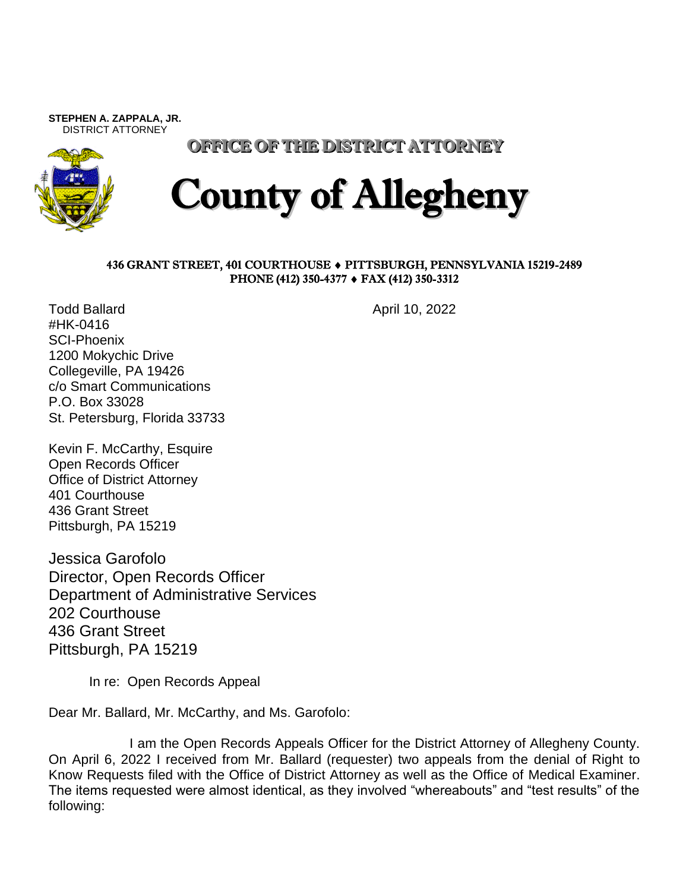**STEPHEN A. ZAPPALA, JR.**  DISTRICT ATTORNEY



OFFICE OF THE DISTRICT ATTORNEY

## County of Allegheny

## 436 GRANT STREET, 401 COURTHOUSE PITTSBURGH, PENNSYLVANIA 15219-2489 PHONE (412) 350-4377 ♦ FAX (412) 350-3312

Todd Ballard **April 10, 2022** #HK-0416 SCI-Phoenix 1200 Mokychic Drive Collegeville, PA 19426 c/o Smart Communications P.O. Box 33028 St. Petersburg, Florida 33733

Kevin F. McCarthy, Esquire Open Records Officer Office of District Attorney 401 Courthouse 436 Grant Street Pittsburgh, PA 15219

Jessica Garofolo Director, Open Records Officer Department of Administrative Services 202 Courthouse 436 Grant Street Pittsburgh, PA 15219

In re: Open Records Appeal

Dear Mr. Ballard, Mr. McCarthy, and Ms. Garofolo:

I am the Open Records Appeals Officer for the District Attorney of Allegheny County. On April 6, 2022 I received from Mr. Ballard (requester) two appeals from the denial of Right to Know Requests filed with the Office of District Attorney as well as the Office of Medical Examiner. The items requested were almost identical, as they involved "whereabouts" and "test results" of the following: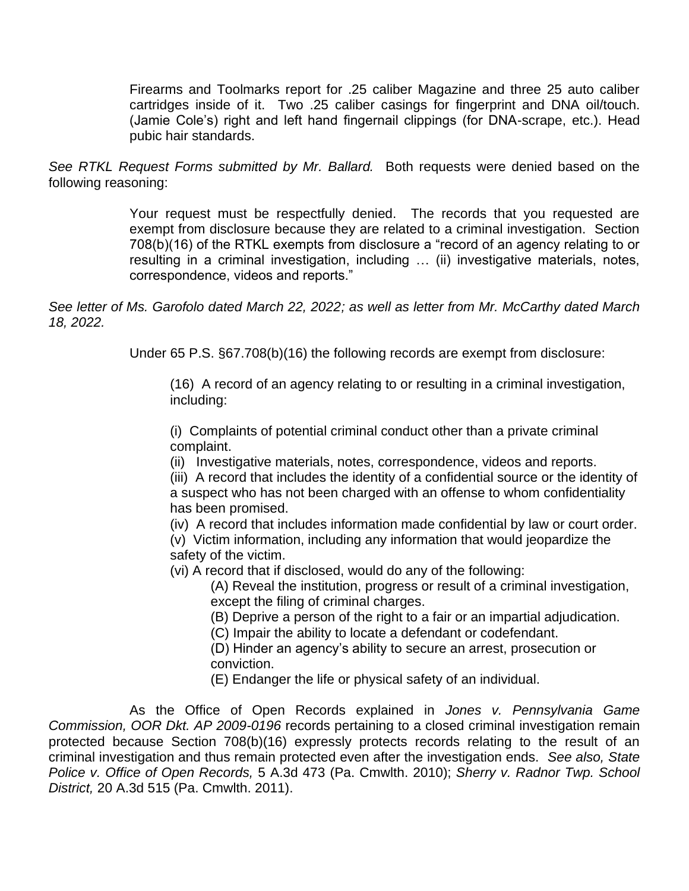Firearms and Toolmarks report for .25 caliber Magazine and three 25 auto caliber cartridges inside of it. Two .25 caliber casings for fingerprint and DNA oil/touch. (Jamie Cole's) right and left hand fingernail clippings (for DNA-scrape, etc.). Head pubic hair standards.

*See RTKL Request Forms submitted by Mr. Ballard.* Both requests were denied based on the following reasoning:

> Your request must be respectfully denied. The records that you requested are exempt from disclosure because they are related to a criminal investigation. Section 708(b)(16) of the RTKL exempts from disclosure a "record of an agency relating to or resulting in a criminal investigation, including … (ii) investigative materials, notes, correspondence, videos and reports."

*See letter of Ms. Garofolo dated March 22, 2022; as well as letter from Mr. McCarthy dated March 18, 2022.*

Under 65 P.S. §67.708(b)(16) the following records are exempt from disclosure:

(16) A record of an agency relating to or resulting in a criminal investigation, including:

(i) Complaints of potential criminal conduct other than a private criminal complaint.

(ii) Investigative materials, notes, correspondence, videos and reports.

(iii) A record that includes the identity of a confidential source or the identity of a suspect who has not been charged with an offense to whom confidentiality has been promised.

(iv) A record that includes information made confidential by law or court order.

(v) Victim information, including any information that would jeopardize the safety of the victim.

(vi) A record that if disclosed, would do any of the following:

(A) Reveal the institution, progress or result of a criminal investigation, except the filing of criminal charges.

(B) Deprive a person of the right to a fair or an impartial adjudication.

(C) Impair the ability to locate a defendant or codefendant.

(D) Hinder an agency's ability to secure an arrest, prosecution or conviction.

(E) Endanger the life or physical safety of an individual.

As the Office of Open Records explained in *Jones v. Pennsylvania Game Commission, OOR Dkt. AP 2009-0196* records pertaining to a closed criminal investigation remain protected because Section 708(b)(16) expressly protects records relating to the result of an criminal investigation and thus remain protected even after the investigation ends. *See also, State Police v. Office of Open Records,* 5 A.3d 473 (Pa. Cmwlth. 2010); *Sherry v. Radnor Twp. School District,* 20 A.3d 515 (Pa. Cmwlth. 2011).